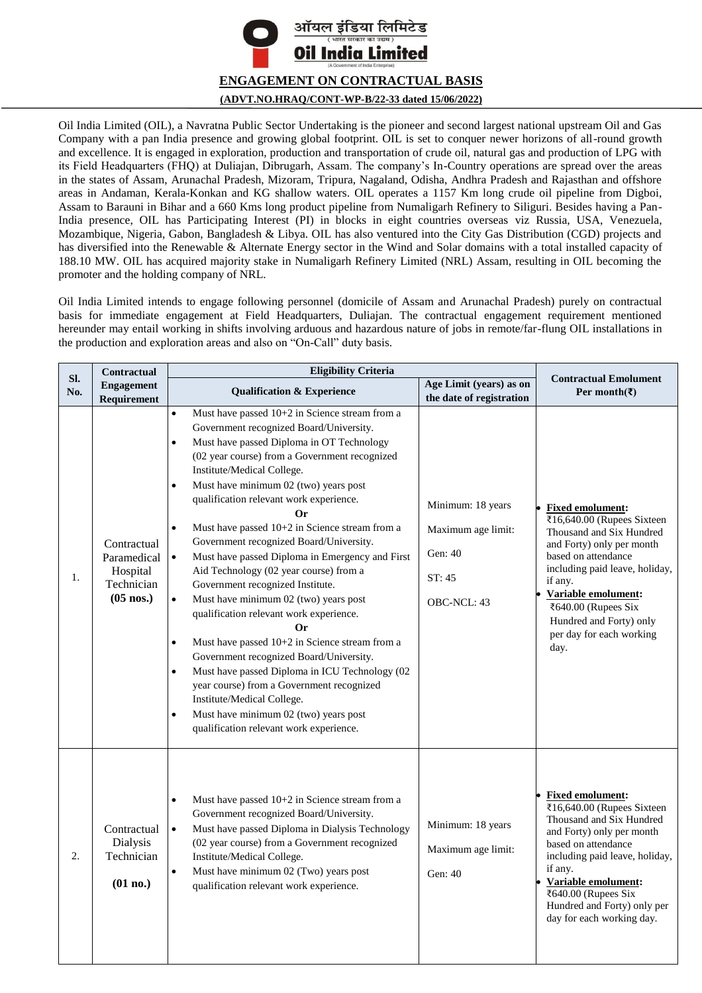

Oil India Limited (OIL), a Navratna Public Sector Undertaking is the pioneer and second largest national upstream Oil and Gas Company with a pan India presence and growing global footprint. OIL is set to conquer newer horizons of all-round growth and excellence. It is engaged in exploration, production and transportation of crude oil, natural gas and production of LPG with its Field Headquarters (FHQ) at Duliajan, Dibrugarh, Assam. The company's In-Country operations are spread over the areas in the states of Assam, Arunachal Pradesh, Mizoram, Tripura, Nagaland, Odisha, Andhra Pradesh and Rajasthan and offshore areas in Andaman, Kerala-Konkan and KG shallow waters. OIL operates a 1157 Km long crude oil pipeline from Digboi, Assam to Barauni in Bihar and a 660 Kms long product pipeline from Numaligarh Refinery to Siliguri. Besides having a Pan-India presence, OIL has Participating Interest (PI) in blocks in eight countries overseas viz Russia, USA, Venezuela, Mozambique, Nigeria, Gabon, Bangladesh & Libya. OIL has also ventured into the City Gas Distribution (CGD) projects and has diversified into the Renewable & Alternate Energy sector in the Wind and Solar domains with a total installed capacity of 188.10 MW. OIL has acquired majority stake in Numaligarh Refinery Limited (NRL) Assam, resulting in OIL becoming the promoter and the holding company of NRL.

Oil India Limited intends to engage following personnel (domicile of Assam and Arunachal Pradesh) purely on contractual basis for immediate engagement at Field Headquarters, Duliajan. The contractual engagement requirement mentioned hereunder may entail working in shifts involving arduous and hazardous nature of jobs in remote/far-flung OIL installations in the production and exploration areas and also on "On-Call" duty basis.

|            | Contractual                                                         | <b>Eligibility Criteria</b>                                                                                                                                                                                                                                                                                                                                                                                                                                                                                                                                                                                                                                                                                                                                                                                                                                                                                                                                                                                                                                                |                                                                             |                                                                                                                                                                                                                                                                                                           |
|------------|---------------------------------------------------------------------|----------------------------------------------------------------------------------------------------------------------------------------------------------------------------------------------------------------------------------------------------------------------------------------------------------------------------------------------------------------------------------------------------------------------------------------------------------------------------------------------------------------------------------------------------------------------------------------------------------------------------------------------------------------------------------------------------------------------------------------------------------------------------------------------------------------------------------------------------------------------------------------------------------------------------------------------------------------------------------------------------------------------------------------------------------------------------|-----------------------------------------------------------------------------|-----------------------------------------------------------------------------------------------------------------------------------------------------------------------------------------------------------------------------------------------------------------------------------------------------------|
| Sl.<br>No. | <b>Engagement</b><br>Requirement                                    | <b>Qualification &amp; Experience</b>                                                                                                                                                                                                                                                                                                                                                                                                                                                                                                                                                                                                                                                                                                                                                                                                                                                                                                                                                                                                                                      | Age Limit (years) as on<br>the date of registration                         | <b>Contractual Emolument</b><br>Per month(₹)                                                                                                                                                                                                                                                              |
| 1.         | Contractual<br>Paramedical<br>Hospital<br>Technician<br>$(05$ nos.) | Must have passed 10+2 in Science stream from a<br>$\bullet$<br>Government recognized Board/University.<br>Must have passed Diploma in OT Technology<br>$\bullet$<br>(02 year course) from a Government recognized<br>Institute/Medical College.<br>Must have minimum 02 (two) years post<br>$\bullet$<br>qualification relevant work experience.<br>Or<br>Must have passed 10+2 in Science stream from a<br>$\bullet$<br>Government recognized Board/University.<br>Must have passed Diploma in Emergency and First<br>$\bullet$<br>Aid Technology (02 year course) from a<br>Government recognized Institute.<br>$\bullet$<br>Must have minimum 02 (two) years post<br>qualification relevant work experience.<br>Or<br>Must have passed 10+2 in Science stream from a<br>$\bullet$<br>Government recognized Board/University.<br>Must have passed Diploma in ICU Technology (02<br>$\bullet$<br>year course) from a Government recognized<br>Institute/Medical College.<br>Must have minimum 02 (two) years post<br>$\bullet$<br>qualification relevant work experience. | Minimum: 18 years<br>Maximum age limit:<br>Gen: 40<br>ST: 45<br>OBC-NCL: 43 | <b>Fixed emolument:</b><br>₹16,640.00 (Rupees Sixteen<br>Thousand and Six Hundred<br>and Forty) only per month<br>based on attendance<br>including paid leave, holiday,<br>if any.<br>Variable emolument:<br>₹640.00 (Rupees Six<br>Hundred and Forty) only<br>per day for each working<br>day.           |
| 2.         | Contractual<br>Dialysis<br>Technician<br>(01 no.)                   | Must have passed 10+2 in Science stream from a<br>$\bullet$<br>Government recognized Board/University.<br>Must have passed Diploma in Dialysis Technology<br>$\bullet$<br>(02 year course) from a Government recognized<br>Institute/Medical College.<br>$\bullet$<br>Must have minimum 02 (Two) years post<br>qualification relevant work experience.                                                                                                                                                                                                                                                                                                                                                                                                                                                                                                                                                                                                                                                                                                                     | Minimum: 18 years<br>Maximum age limit:<br>Gen: 40                          | <b>Fixed emolument:</b><br>₹16,640.00 (Rupees Sixteen<br>Thousand and Six Hundred<br>and Forty) only per month<br>based on attendance<br>including paid leave, holiday,<br>if any.<br>Variable emolument:<br>$\overline{$640.00}$ (Rupees Six<br>Hundred and Forty) only per<br>day for each working day. |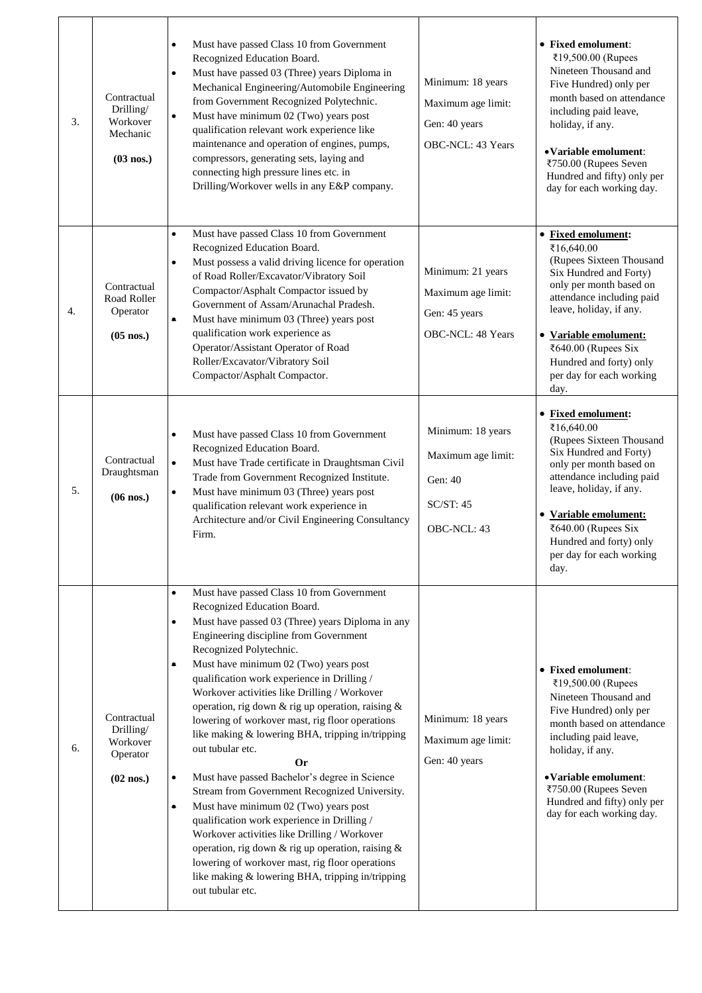| 3. | Contractual<br>Drilling/<br>Workover<br>Mechanic<br>$(03$ nos.) | Must have passed Class 10 from Government<br>Recognized Education Board.<br>Must have passed 03 (Three) years Diploma in<br>$\bullet$<br>Mechanical Engineering/Automobile Engineering<br>from Government Recognized Polytechnic.<br>Must have minimum 02 (Two) years post<br>$\bullet$<br>qualification relevant work experience like<br>maintenance and operation of engines, pumps,<br>compressors, generating sets, laying and<br>connecting high pressure lines etc. in<br>Drilling/Workover wells in any E&P company.                                                                                                                                                                                                                                                                                                                                                                                                                                                                           | Minimum: 18 years<br>Maximum age limit:<br>Gen: 40 years<br>OBC-NCL: 43 Years  | • Fixed emolument:<br>₹19,500.00 (Rupees<br>Nineteen Thousand and<br>Five Hundred) only per<br>month based on attendance<br>including paid leave,<br>holiday, if any.<br>• Variable emolument:<br>₹750.00 (Rupees Seven<br>Hundred and fifty) only per<br>day for each working day.      |
|----|-----------------------------------------------------------------|-------------------------------------------------------------------------------------------------------------------------------------------------------------------------------------------------------------------------------------------------------------------------------------------------------------------------------------------------------------------------------------------------------------------------------------------------------------------------------------------------------------------------------------------------------------------------------------------------------------------------------------------------------------------------------------------------------------------------------------------------------------------------------------------------------------------------------------------------------------------------------------------------------------------------------------------------------------------------------------------------------|--------------------------------------------------------------------------------|------------------------------------------------------------------------------------------------------------------------------------------------------------------------------------------------------------------------------------------------------------------------------------------|
| 4. | Contractual<br>Road Roller<br>Operator<br>$(05$ nos.)           | Must have passed Class 10 from Government<br>$\bullet$<br>Recognized Education Board.<br>Must possess a valid driving licence for operation<br>$\bullet$<br>of Road Roller/Excavator/Vibratory Soil<br>Compactor/Asphalt Compactor issued by<br>Government of Assam/Arunachal Pradesh.<br>Must have minimum 03 (Three) years post<br>۰<br>qualification work experience as<br>Operator/Assistant Operator of Road<br>Roller/Excavator/Vibratory Soil<br>Compactor/Asphalt Compactor.                                                                                                                                                                                                                                                                                                                                                                                                                                                                                                                  | Minimum: 21 years<br>Maximum age limit:<br>Gen: 45 years<br>OBC-NCL: 48 Years  | • Fixed emolument:<br>₹16,640.00<br>(Rupees Sixteen Thousand<br>Six Hundred and Forty)<br>only per month based on<br>attendance including paid<br>leave, holiday, if any.<br>• Variable emolument:<br>₹640.00 (Rupees Six<br>Hundred and forty) only<br>per day for each working<br>day. |
| 5. | Contractual<br>Draughtsman<br>$(06$ nos.)                       | Must have passed Class 10 from Government<br>$\bullet$<br>Recognized Education Board.<br>$\bullet$<br>Must have Trade certificate in Draughtsman Civil<br>Trade from Government Recognized Institute.<br>Must have minimum 03 (Three) years post<br>$\bullet$<br>qualification relevant work experience in<br>Architecture and/or Civil Engineering Consultancy<br>Firm.                                                                                                                                                                                                                                                                                                                                                                                                                                                                                                                                                                                                                              | Minimum: 18 years<br>Maximum age limit:<br>Gen: 40<br>SC/ST: 45<br>OBC-NCL: 43 | • Fixed emolument:<br>₹16,640.00<br>(Rupees Sixteen Thousand<br>Six Hundred and Forty)<br>only per month based on<br>attendance including paid<br>leave, holiday, if any.<br>• Variable emolument:<br>₹640.00 (Rupees Six<br>Hundred and forty) only<br>per day for each working<br>day. |
| 6. | Contractual<br>Drilling/<br>Workover<br>Operator<br>$(02$ nos.) | Must have passed Class 10 from Government<br>$\bullet$<br>Recognized Education Board.<br>Must have passed 03 (Three) years Diploma in any<br>$\bullet$<br>Engineering discipline from Government<br>Recognized Polytechnic.<br>Must have minimum 02 (Two) years post<br>qualification work experience in Drilling /<br>Workover activities like Drilling / Workover<br>operation, rig down & rig up operation, raising &<br>lowering of workover mast, rig floor operations<br>like making & lowering BHA, tripping in/tripping<br>out tubular etc.<br>Or<br>Must have passed Bachelor's degree in Science<br>$\bullet$<br>Stream from Government Recognized University.<br>Must have minimum 02 (Two) years post<br>۰<br>qualification work experience in Drilling /<br>Workover activities like Drilling / Workover<br>operation, rig down & rig up operation, raising &<br>lowering of workover mast, rig floor operations<br>like making & lowering BHA, tripping in/tripping<br>out tubular etc. | Minimum: 18 years<br>Maximum age limit:<br>Gen: 40 years                       | • Fixed emolument:<br>₹19,500.00 (Rupees<br>Nineteen Thousand and<br>Five Hundred) only per<br>month based on attendance<br>including paid leave,<br>holiday, if any.<br>• Variable emolument:<br>₹750.00 (Rupees Seven<br>Hundred and fifty) only per<br>day for each working day.      |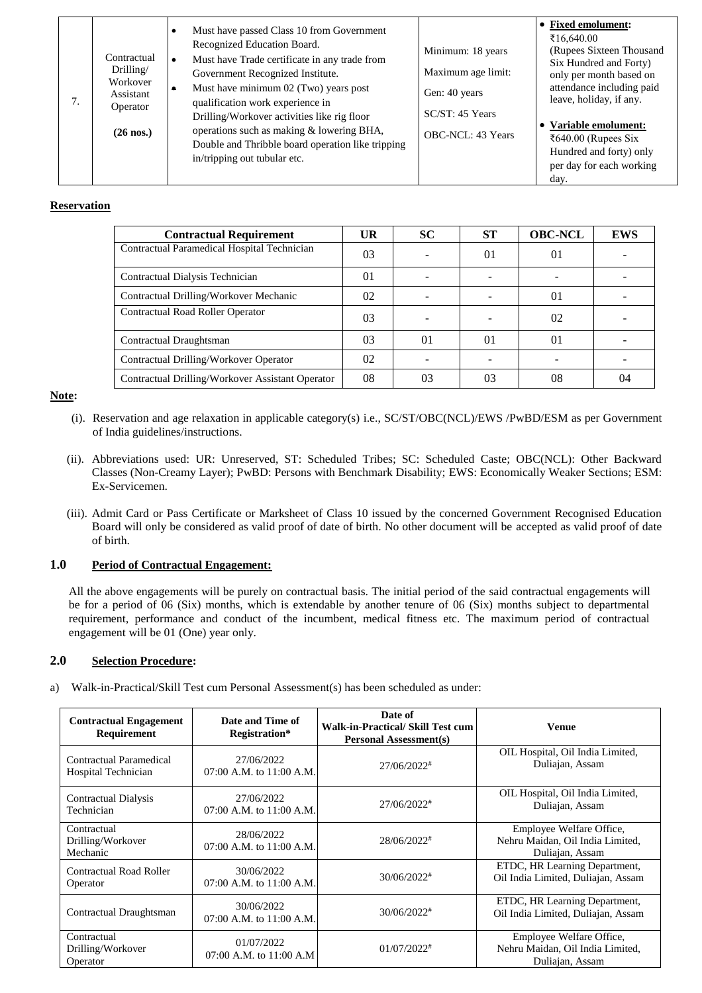### **Reservation**

| <b>Contractual Requirement</b>                   | UR       | <b>SC</b>      | <b>ST</b> | <b>OBC-NCL</b> | <b>EWS</b> |
|--------------------------------------------------|----------|----------------|-----------|----------------|------------|
| Contractual Paramedical Hospital Technician      | 03       |                | 01        | $\Omega$       |            |
| Contractual Dialysis Technician                  | $\Omega$ |                |           |                |            |
| Contractual Drilling/Workover Mechanic           | 02       |                |           | $\Omega$       |            |
| Contractual Road Roller Operator                 | 03       |                |           | 02             |            |
| Contractual Draughtsman                          | 03       | 0 <sub>1</sub> | 01        | 01             |            |
| Contractual Drilling/Workover Operator           | 02       |                |           |                |            |
| Contractual Drilling/Workover Assistant Operator | 08       | 03             | 03        | 08             | 04         |

**Note:** 

- (i). Reservation and age relaxation in applicable category(s) i.e., SC/ST/OBC(NCL)/EWS /PwBD/ESM as per Government of India guidelines/instructions.
- (ii). Abbreviations used: UR: Unreserved, ST: Scheduled Tribes; SC: Scheduled Caste; OBC(NCL): Other Backward Classes (Non-Creamy Layer); PwBD: Persons with Benchmark Disability; EWS: Economically Weaker Sections; ESM: Ex-Servicemen.
- (iii). Admit Card or Pass Certificate or Marksheet of Class 10 issued by the concerned Government Recognised Education Board will only be considered as valid proof of date of birth. No other document will be accepted as valid proof of date of birth.

## **1.0 Period of Contractual Engagement:**

All the above engagements will be purely on contractual basis. The initial period of the said contractual engagements will be for a period of 06 (Six) months, which is extendable by another tenure of 06 (Six) months subject to departmental requirement, performance and conduct of the incumbent, medical fitness etc. The maximum period of contractual engagement will be 01 (One) year only.

### **2.0 Selection Procedure:**

a) Walk-in-Practical/Skill Test cum Personal Assessment(s) has been scheduled as under:

| <b>Contractual Engagement</b><br>Requirement   | Date and Time of<br>Registration*          | Date of<br><b>Walk-in-Practical/ Skill Test cum</b><br><b>Personal Assessment(s)</b> | Venue                                                                           |
|------------------------------------------------|--------------------------------------------|--------------------------------------------------------------------------------------|---------------------------------------------------------------------------------|
| Contractual Paramedical<br>Hospital Technician | 27/06/2022<br>07:00 A.M. to 11:00 A.M.     | 27/06/2022#                                                                          | OIL Hospital, Oil India Limited,<br>Duliajan, Assam                             |
| <b>Contractual Dialysis</b><br>Technician      | 27/06/2022<br>$07:00$ A.M. to $11:00$ A.M. | 27/06/2022#                                                                          | OIL Hospital, Oil India Limited,<br>Duliajan, Assam                             |
| Contractual<br>Drilling/Workover<br>Mechanic   | 28/06/2022<br>$07:00$ A.M. to $11:00$ A.M. | 28/06/2022#                                                                          | Employee Welfare Office,<br>Nehru Maidan, Oil India Limited,<br>Duliajan, Assam |
| Contractual Road Roller<br>Operator            | 30/06/2022<br>$07:00$ A.M. to $11:00$ A.M. | $30/06/2022$ <sup>#</sup>                                                            | ETDC, HR Learning Department,<br>Oil India Limited, Duliajan, Assam             |
| Contractual Draughtsman                        | 30/06/2022<br>$07:00$ A.M. to $11:00$ A.M. | $30/06/2022$ <sup>#</sup>                                                            | ETDC, HR Learning Department,<br>Oil India Limited, Duliajan, Assam             |
| Contractual<br>Drilling/Workover<br>Operator   | 01/07/2022<br>$07:00$ A.M. to $11:00$ A.M. | $01/07/2022$ <sup>#</sup>                                                            | Employee Welfare Office,<br>Nehru Maidan, Oil India Limited,<br>Duliajan, Assam |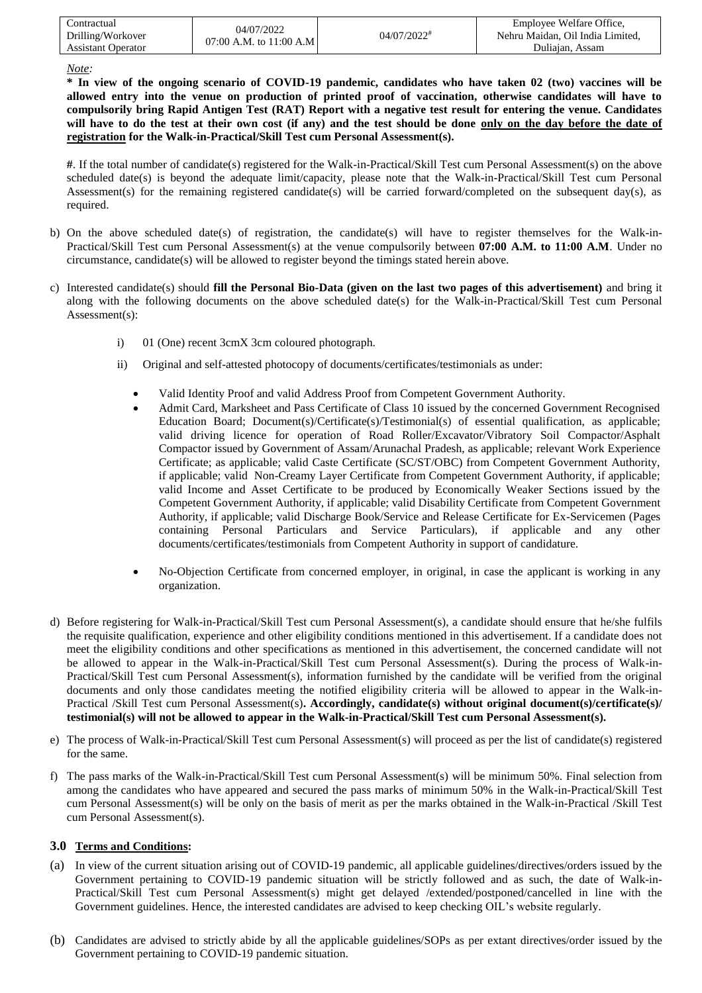| ' `ontractual             | 04/07/2022                 |                           | Employee Welfare Office,         |
|---------------------------|----------------------------|---------------------------|----------------------------------|
| Drilling/Workover         | 07:00 A.M. to $11:00$ A.M. | $04/07/2022$ <sup>#</sup> | Nehru Maidan, Oil India Limited. |
| <b>Assistant Operator</b> |                            |                           | Duliaian, Assam                  |

*Note:* 

**\* In view of the ongoing scenario of COVID-19 pandemic, candidates who have taken 02 (two) vaccines will be allowed entry into the venue on production of printed proof of vaccination, otherwise candidates will have to compulsorily bring Rapid Antigen Test (RAT) Report with a negative test result for entering the venue. Candidates will have to do the test at their own cost (if any) and the test should be done only on the day before the date of registration for the Walk-in-Practical/Skill Test cum Personal Assessment(s).**

**#**. If the total number of candidate(s) registered for the Walk-in-Practical/Skill Test cum Personal Assessment(s) on the above scheduled date(s) is beyond the adequate limit/capacity, please note that the Walk-in-Practical/Skill Test cum Personal Assessment(s) for the remaining registered candidate(s) will be carried forward/completed on the subsequent day(s), as required.

- b) On the above scheduled date(s) of registration, the candidate(s) will have to register themselves for the Walk-in-Practical/Skill Test cum Personal Assessment(s) at the venue compulsorily between **07:00 A.M. to 11:00 A.M**. Under no circumstance, candidate(s) will be allowed to register beyond the timings stated herein above.
- c) Interested candidate(s) should **fill the Personal Bio-Data (given on the last two pages of this advertisement)** and bring it along with the following documents on the above scheduled date(s) for the Walk-in-Practical/Skill Test cum Personal Assessment(s):
	- i) 01 (One) recent 3cmX 3cm coloured photograph.
	- ii) Original and self-attested photocopy of documents/certificates/testimonials as under:
		- Valid Identity Proof and valid Address Proof from Competent Government Authority.
		- Admit Card, Marksheet and Pass Certificate of Class 10 issued by the concerned Government Recognised Education Board; Document(s)/Certificate(s)/Testimonial(s) of essential qualification, as applicable; valid driving licence for operation of Road Roller/Excavator/Vibratory Soil Compactor/Asphalt Compactor issued by Government of Assam/Arunachal Pradesh, as applicable; relevant Work Experience Certificate; as applicable; valid Caste Certificate (SC/ST/OBC) from Competent Government Authority, if applicable; valid Non-Creamy Layer Certificate from Competent Government Authority, if applicable; valid Income and Asset Certificate to be produced by Economically Weaker Sections issued by the Competent Government Authority, if applicable; valid Disability Certificate from Competent Government Authority, if applicable; valid Discharge Book/Service and Release Certificate for Ex-Servicemen (Pages containing Personal Particulars and Service Particulars), if applicable and any other documents/certificates/testimonials from Competent Authority in support of candidature.
		- No-Objection Certificate from concerned employer, in original, in case the applicant is working in any organization.
- d) Before registering for Walk-in-Practical/Skill Test cum Personal Assessment(s), a candidate should ensure that he/she fulfils the requisite qualification, experience and other eligibility conditions mentioned in this advertisement. If a candidate does not meet the eligibility conditions and other specifications as mentioned in this advertisement, the concerned candidate will not be allowed to appear in the Walk-in-Practical/Skill Test cum Personal Assessment(s). During the process of Walk-in-Practical/Skill Test cum Personal Assessment(s), information furnished by the candidate will be verified from the original documents and only those candidates meeting the notified eligibility criteria will be allowed to appear in the Walk-in-Practical /Skill Test cum Personal Assessment(s)**. Accordingly, candidate(s) without original document(s)/certificate(s)/ testimonial(s) will not be allowed to appear in the Walk-in-Practical/Skill Test cum Personal Assessment(s).**
- e) The process of Walk-in-Practical/Skill Test cum Personal Assessment(s) will proceed as per the list of candidate(s) registered for the same.
- f) The pass marks of the Walk-in-Practical/Skill Test cum Personal Assessment(s) will be minimum 50%. Final selection from among the candidates who have appeared and secured the pass marks of minimum 50% in the Walk-in-Practical/Skill Test cum Personal Assessment(s) will be only on the basis of merit as per the marks obtained in the Walk-in-Practical /Skill Test cum Personal Assessment(s).

### **3.0 Terms and Conditions:**

- (a) In view of the current situation arising out of COVID-19 pandemic, all applicable guidelines/directives/orders issued by the Government pertaining to COVID-19 pandemic situation will be strictly followed and as such, the date of Walk-in-Practical/Skill Test cum Personal Assessment(s) might get delayed /extended/postponed/cancelled in line with the Government guidelines. Hence, the interested candidates are advised to keep checking OIL's website regularly.
- (b) Candidates are advised to strictly abide by all the applicable guidelines/SOPs as per extant directives/order issued by the Government pertaining to COVID-19 pandemic situation.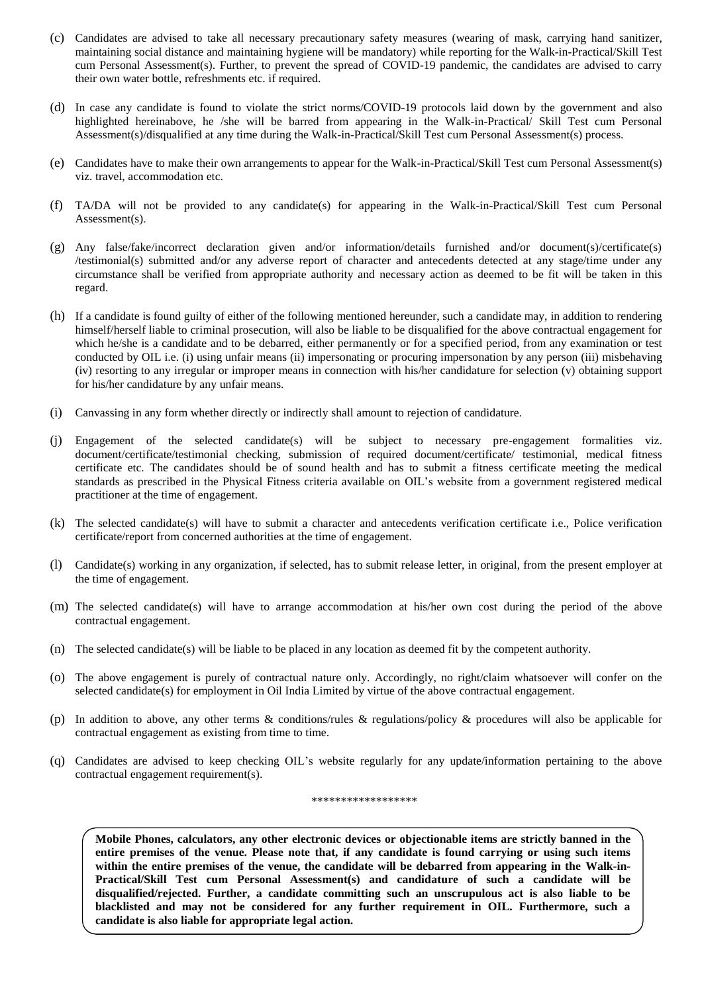- (c) Candidates are advised to take all necessary precautionary safety measures (wearing of mask, carrying hand sanitizer, maintaining social distance and maintaining hygiene will be mandatory) while reporting for the Walk-in-Practical/Skill Test cum Personal Assessment(s). Further, to prevent the spread of COVID-19 pandemic, the candidates are advised to carry their own water bottle, refreshments etc. if required.
- (d) In case any candidate is found to violate the strict norms/COVID-19 protocols laid down by the government and also highlighted hereinabove, he /she will be barred from appearing in the Walk-in-Practical/ Skill Test cum Personal Assessment(s)/disqualified at any time during the Walk-in-Practical/Skill Test cum Personal Assessment(s) process.
- (e) Candidates have to make their own arrangements to appear for the Walk-in-Practical/Skill Test cum Personal Assessment(s) viz. travel, accommodation etc.
- (f) TA/DA will not be provided to any candidate(s) for appearing in the Walk-in-Practical/Skill Test cum Personal Assessment(s).
- (g) Any false/fake/incorrect declaration given and/or information/details furnished and/or document(s)/certificate(s) /testimonial(s) submitted and/or any adverse report of character and antecedents detected at any stage/time under any circumstance shall be verified from appropriate authority and necessary action as deemed to be fit will be taken in this regard.
- (h) If a candidate is found guilty of either of the following mentioned hereunder, such a candidate may, in addition to rendering himself/herself liable to criminal prosecution, will also be liable to be disqualified for the above contractual engagement for which he/she is a candidate and to be debarred, either permanently or for a specified period, from any examination or test conducted by OIL i.e. (i) using unfair means (ii) impersonating or procuring impersonation by any person (iii) misbehaving (iv) resorting to any irregular or improper means in connection with his/her candidature for selection (v) obtaining support for his/her candidature by any unfair means.
- (i) Canvassing in any form whether directly or indirectly shall amount to rejection of candidature.
- (j) Engagement of the selected candidate(s) will be subject to necessary pre-engagement formalities viz. document/certificate/testimonial checking, submission of required document/certificate/ testimonial, medical fitness certificate etc. The candidates should be of sound health and has to submit a fitness certificate meeting the medical standards as prescribed in the Physical Fitness criteria available on OIL's website from a government registered medical practitioner at the time of engagement.
- (k) The selected candidate(s) will have to submit a character and antecedents verification certificate i.e., Police verification certificate/report from concerned authorities at the time of engagement.
- (l) Candidate(s) working in any organization, if selected, has to submit release letter, in original, from the present employer at the time of engagement.
- (m) The selected candidate(s) will have to arrange accommodation at his/her own cost during the period of the above contractual engagement.
- (n) The selected candidate(s) will be liable to be placed in any location as deemed fit by the competent authority.
- (o) The above engagement is purely of contractual nature only. Accordingly, no right/claim whatsoever will confer on the selected candidate(s) for employment in Oil India Limited by virtue of the above contractual engagement.
- (p) In addition to above, any other terms & conditions/rules & regulations/policy & procedures will also be applicable for contractual engagement as existing from time to time.
- (q) Candidates are advised to keep checking OIL's website regularly for any update/information pertaining to the above contractual engagement requirement(s).

#### \*\*\*\*\*\*\*\*\*\*\*\*\*\*\*\*\*\*

**Mobile Phones, calculators, any other electronic devices or objectionable items are strictly banned in the entire premises of the venue. Please note that, if any candidate is found carrying or using such items within the entire premises of the venue, the candidate will be debarred from appearing in the Walk-in-Practical/Skill Test cum Personal Assessment(s) and candidature of such a candidate will be disqualified/rejected. Further, a candidate committing such an unscrupulous act is also liable to be blacklisted and may not be considered for any further requirement in OIL. Furthermore, such a candidate is also liable for appropriate legal action.**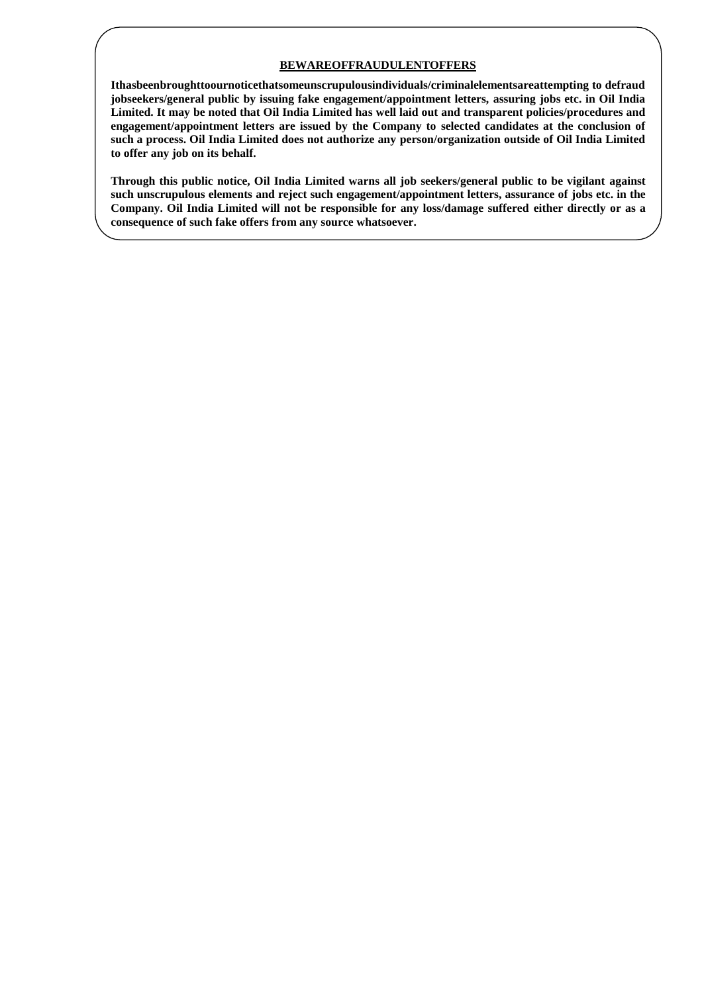### **BEWAREOFFRAUDULENTOFFERS**

**Ithasbeenbroughttoournoticethatsomeunscrupulousindividuals/criminalelementsareattempting to defraud jobseekers/general public by issuing fake engagement/appointment letters, assuring jobs etc. in Oil India Limited. It may be noted that Oil India Limited has well laid out and transparent policies/procedures and engagement/appointment letters are issued by the Company to selected candidates at the conclusion of such a process. Oil India Limited does not authorize any person/organization outside of Oil India Limited to offer any job on its behalf.**

**Through this public notice, Oil India Limited warns all job seekers/general public to be vigilant against such unscrupulous elements and reject such engagement/appointment letters, assurance of jobs etc. in the Company. Oil India Limited will not be responsible for any loss/damage suffered either directly or as a consequence of such fake offers from any source whatsoever.**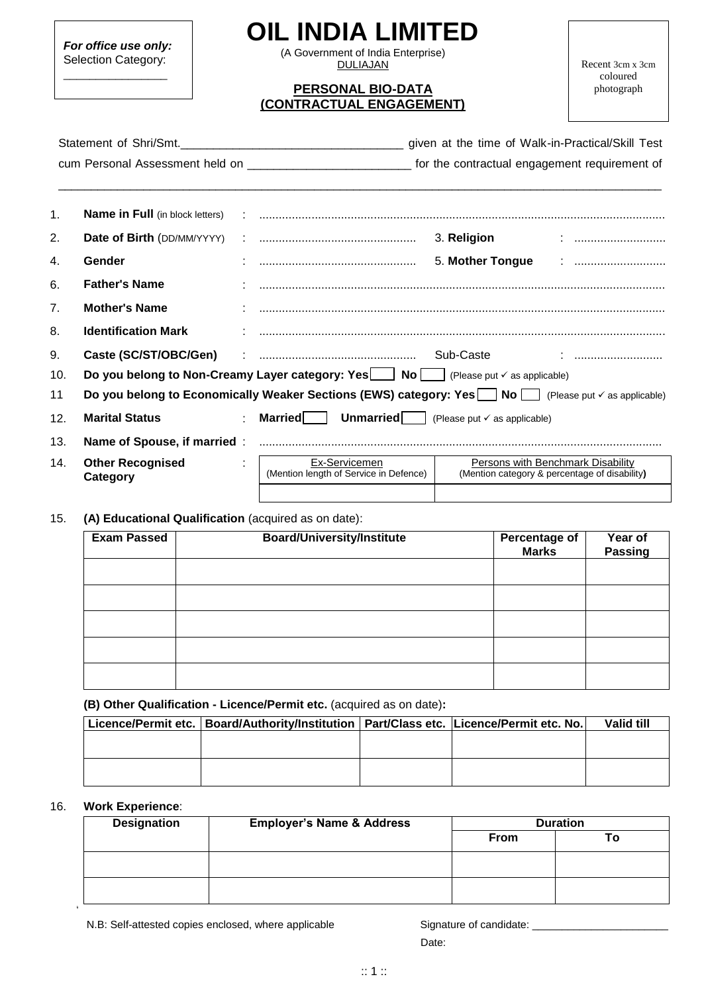*For office use only:* Selection Category:

\_\_\_\_\_\_\_\_\_\_\_\_\_\_\_\_

# **OIL INDIA LIMITED**

(A Government of India Enterprise) **DULIAJAN** 

## **PERSONAL BIO-DATA (CONTRACTUAL ENGAGEMENT)**

Recent 3cm x 3cm coloured photograph

|     | Statement of Shri/Smt.              |                                                                                                          | given at the time of Walk-in-Practical/Skill Test                                                                          |
|-----|-------------------------------------|----------------------------------------------------------------------------------------------------------|----------------------------------------------------------------------------------------------------------------------------|
|     |                                     |                                                                                                          | cum Personal Assessment held on _________________________________ for the contractual engagement requirement of            |
| 1.  |                                     |                                                                                                          |                                                                                                                            |
| 2.  | Date of Birth (DD/MM/YYYY)          |                                                                                                          |                                                                                                                            |
| 4.  | Gender                              |                                                                                                          |                                                                                                                            |
| 6.  | <b>Father's Name</b>                |                                                                                                          |                                                                                                                            |
| 7.  | <b>Mother's Name</b>                |                                                                                                          |                                                                                                                            |
| 8.  | <b>Identification Mark</b>          |                                                                                                          |                                                                                                                            |
| 9.  |                                     |                                                                                                          |                                                                                                                            |
| 10. |                                     | Do you belong to Non-Creamy Layer category: Yes $\Box$ No $\Box$ (Please put $\checkmark$ as applicable) |                                                                                                                            |
| 11  |                                     |                                                                                                          | Do you belong to Economically Weaker Sections (EWS) category: Yes $\Box$ No $\Box$ (Please put $\checkmark$ as applicable) |
| 12. | <b>Marital Status</b>               | <b>Married</b> Unmarried (Please put $\checkmark$ as applicable)                                         |                                                                                                                            |
| 13. |                                     |                                                                                                          |                                                                                                                            |
| 14. | <b>Other Recognised</b><br>Category | Ex-Servicemen<br>(Mention length of Service in Defence)                                                  | <b>Persons with Benchmark Disability</b><br>(Mention category & percentage of disability)                                  |
|     |                                     |                                                                                                          |                                                                                                                            |

### 15. **(A) Educational Qualification** (acquired as on date):

| <b>Exam Passed</b> | <b>Board/University/Institute</b> | Percentage of<br><b>Marks</b> | Year of<br>Passing |
|--------------------|-----------------------------------|-------------------------------|--------------------|
|                    |                                   |                               |                    |
|                    |                                   |                               |                    |
|                    |                                   |                               |                    |
|                    |                                   |                               |                    |
|                    |                                   |                               |                    |

**(B) Other Qualification - Licence/Permit etc.** (acquired as on date)**:**

| Licence/Permit etc.   Board/Authority/Institution   Part/Class etc.   Licence/Permit etc. No. |  | Valid till |
|-----------------------------------------------------------------------------------------------|--|------------|
|                                                                                               |  |            |
|                                                                                               |  |            |
|                                                                                               |  |            |
|                                                                                               |  |            |

### 16. **Work Experience**:

\*

| <b>Designation</b> | <b>Employer's Name &amp; Address</b> | <b>Duration</b> |    |
|--------------------|--------------------------------------|-----------------|----|
|                    |                                      | <b>From</b>     | Τo |
|                    |                                      |                 |    |
|                    |                                      |                 |    |

discussion of the contract of the contract of the contract of the Date: